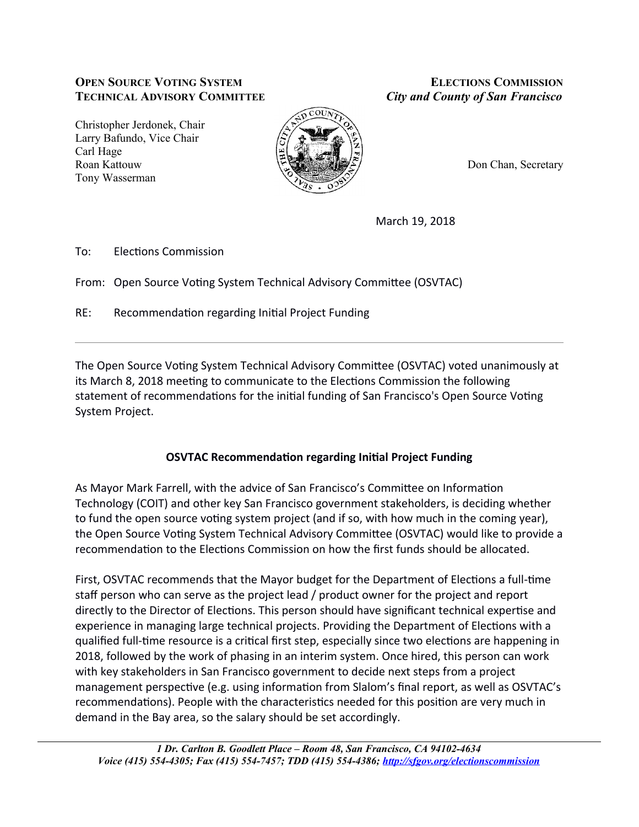## **OPEN SOURCE VOTING SYSTEM TECHNICAL ADVISORY COMMITTEE**

Christopher Jerdonek, Chair Larry Bafundo, Vice Chair Carl Hage Roan Kattouw Tony Wasserman



**ELECTIONS COMMISSION City and County of San Francisco** 

Don Chan, Secretary

March 19, 2018

 $To:$ **Elections Commission** 

From: Open Source Voting System Technical Advisory Committee (OSVTAC)

 $RE:$ Recommendation regarding Initial Project Funding

The Open Source Voting System Technical Advisory Committee (OSVTAC) voted unanimously at its March 8, 2018 meeting to communicate to the Elections Commission the following statement of recommendations for the initial funding of San Francisco's Open Source Voting System Project.

## **OSVTAC Recommendation regarding Initial Project Funding**

As Mayor Mark Farrell, with the advice of San Francisco's Committee on Information Technology (COIT) and other key San Francisco government stakeholders, is deciding whether to fund the open source voting system project (and if so, with how much in the coming year), the Open Source Voting System Technical Advisory Committee (OSVTAC) would like to provide a recommendation to the Elections Commission on how the first funds should be allocated.

First, OSVTAC recommends that the Mayor budget for the Department of Elections a full-time staff person who can serve as the project lead / product owner for the project and report directly to the Director of Elections. This person should have significant technical expertise and experience in managing large technical projects. Providing the Department of Elections with a qualified full-time resource is a critical first step, especially since two elections are happening in 2018, followed by the work of phasing in an interim system. Once hired, this person can work with key stakeholders in San Francisco government to decide next steps from a project management perspective (e.g. using information from Slalom's final report, as well as OSVTAC's recommendations). People with the characteristics needed for this position are very much in demand in the Bay area, so the salary should be set accordingly.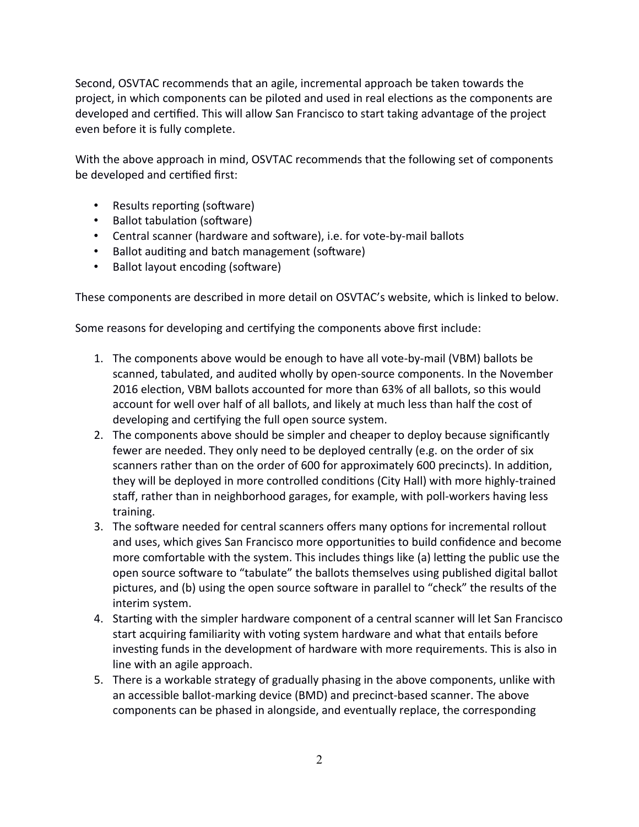Second, OSVTAC recommends that an agile, incremental approach be taken towards the project, in which components can be piloted and used in real elections as the components are developed and certified. This will allow San Francisco to start taking advantage of the project even before it is fully complete.

With the above approach in mind, OSVTAC recommends that the following set of components be developed and certified first:

- Results reporting (software)
- Ballot tabulation (software)
- Central scanner (hardware and software), i.e. for vote-by-mail ballots
- Ballot auditing and batch management (software)
- Ballot layout encoding (software)

These components are described in more detail on OSVTAC's website, which is linked to below.

Some reasons for developing and certifying the components above first include:

- 1. The components above would be enough to have all vote-by-mail (VBM) ballots be scanned, tabulated, and audited wholly by open-source components. In the November 2016 election, VBM ballots accounted for more than 63% of all ballots, so this would account for well over half of all ballots, and likely at much less than half the cost of developing and certifying the full open source system.
- 2. The components above should be simpler and cheaper to deploy because significantly fewer are needed. They only need to be deployed centrally (e.g. on the order of six scanners rather than on the order of 600 for approximately 600 precincts). In addition, they will be deployed in more controlled conditions (City Hall) with more highly-trained staff, rather than in neighborhood garages, for example, with poll-workers having less training.
- 3. The software needed for central scanners offers many options for incremental rollout and uses, which gives San Francisco more opportunities to build confidence and become more comfortable with the system. This includes things like (a) letting the public use the open source software to "tabulate" the ballots themselves using published digital ballot pictures, and (b) using the open source software in parallel to "check" the results of the interim system.
- 4. Starting with the simpler hardware component of a central scanner will let San Francisco start acquiring familiarity with voting system hardware and what that entails before investing funds in the development of hardware with more requirements. This is also in line with an agile approach.
- 5. There is a workable strategy of gradually phasing in the above components, unlike with an accessible ballot-marking device (BMD) and precinct-based scanner. The above components can be phased in alongside, and eventually replace, the corresponding